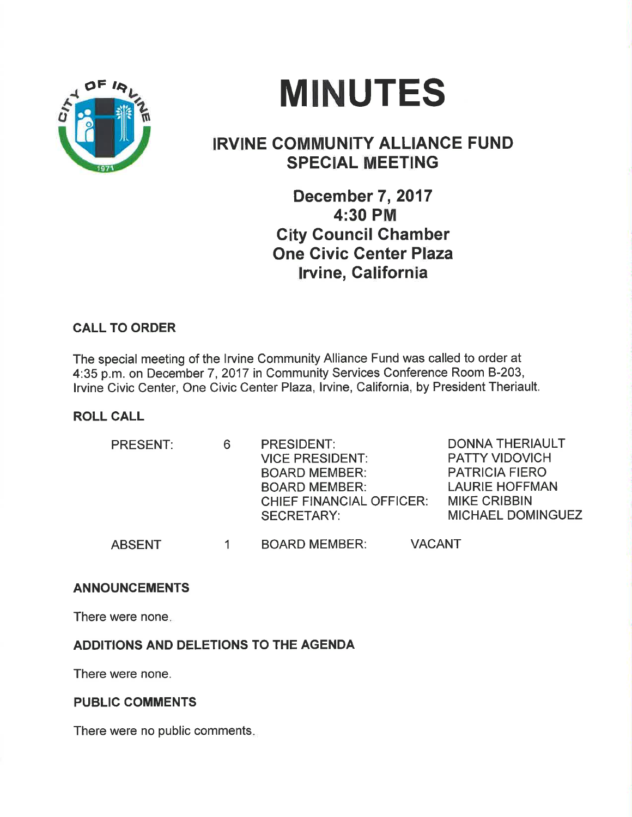

# MINUTES

## **IRVINE COMMUNITY ALLIANCE FUND** SPECIAL MEETING

December 7, 2017 4:30 PM Gity Council Chamber One Givic Genter Plaza lrvine, California

### CALL TO ORDER

The special meeting of the lrvine Community Alliance Fund was called to order at 4:35 p.m. on December 7,2017 in Community Services Conference Room 8-203, Irvine Civic Center, One Civic Center Plaza, Irvine, California, by President Theriault.

#### ROLL CALL

| <b>PRESENT:</b> |  | <b>PRESIDENT:</b>               | <b>DONNA THERIAULT</b>   |
|-----------------|--|---------------------------------|--------------------------|
|                 |  | <b>VICE PRESIDENT:</b>          | <b>PATTY VIDOVICH</b>    |
|                 |  | <b>BOARD MEMBER:</b>            | <b>PATRICIA FIERO</b>    |
|                 |  | <b>BOARD MEMBER:</b>            | <b>LAURIE HOFFMAN</b>    |
|                 |  | <b>CHIEF FINANCIAL OFFICER:</b> | <b>MIKE CRIBBIN</b>      |
|                 |  | <b>SECRETARY:</b>               | <b>MICHAEL DOMINGUEZ</b> |
| <b>ABSENT</b>   |  | <b>BOARD MEMBER:</b>            | <b>VACANT</b>            |

#### ANNOUNCEMENTS

There were none

#### ADDITIONS AND DELETIONS TO THE AGENDA

There were none.

#### PUBLIC COMMENTS

There were no public comments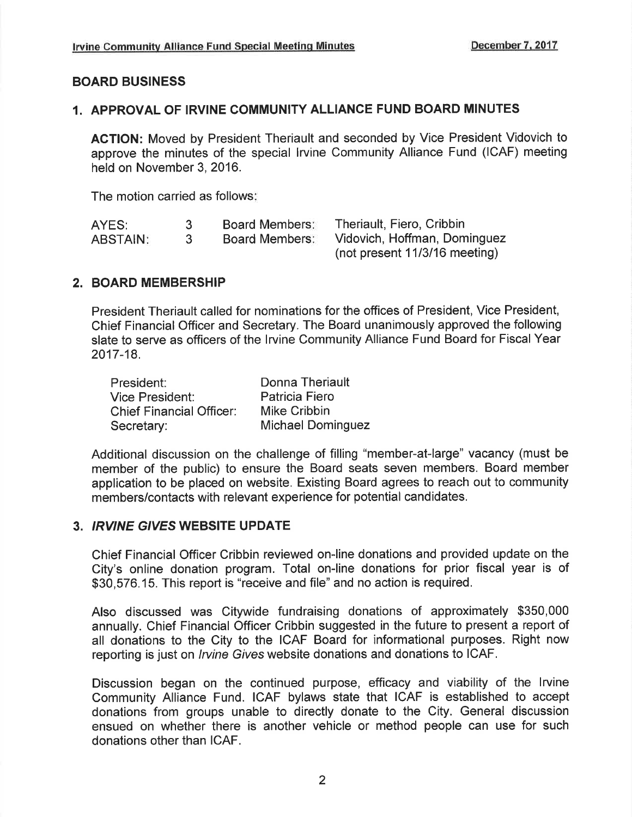#### BOARD BUSINESS

#### 1. APPROVAL OF IRVINE COMMUNITY ALLIANCE FUND BOARD MINUTES

AGTION: Moved by President Theriault and seconded by Vice President Vidovich to approve the minutes of the special lrvine Community Alliance Fund (ICAF) meeting held on November 3,2016.

The motion carried as follows

| AYES:           |              | <b>Board Members:</b> | Theriault, Fiero, Cribbin     |
|-----------------|--------------|-----------------------|-------------------------------|
| <b>ABSTAIN:</b> | $\mathbf{3}$ | <b>Board Members:</b> | Vidovich, Hoffman, Dominguez  |
|                 |              |                       | (not present 11/3/16 meeting) |

#### 2. BOARD MEMBERSHIP

President Theriault called for nominations for the offices of President, Vice President, Chief Financial Officer and Secretary. The Board unanimously approved the following slate to serve as officers of the lrvine Community Alliance Fund Board for Fiscal Year 2017-18.

| President:                      | Donna Theriault          |
|---------------------------------|--------------------------|
| Vice President:                 | <b>Patricia Fiero</b>    |
| <b>Chief Financial Officer:</b> | <b>Mike Cribbin</b>      |
| Secretary:                      | <b>Michael Dominguez</b> |

Additional discussion on the challenge of filling "member-at-large" vacancy (must be member of the public) to ensure the Board seats seven members. Board member application to be placed on website. Existing Board agrees to reach out to community members/contacts with relevant experience for potential candidates.

#### 3. IRVINE GIVES WEBSITE UPDATE

Chief Financial Officer Cribbin reviewed on-line donations and provided update on the City's online donation program. Total on-line donations for prior fiscal year is of \$30,576.15. This report is "receive and file" and no action is required.

Also discussed was Citywide fundraising donations of approximately \$350,000 annually. Chief Financial Officer Cribbin suggested in the future to present a report of all donations to the City to the ICAF Board for informational purposes. Right now reporting is just on *Irvine Gives* website donations and donations to ICAF.

Discussion began on the continued purpose, efficacy and viability of the lrvine Community Alliance Fund. ICAF bylaws state that ICAF is established to accept donations from groups unable to directly donate to the City. General discussion ensued on whether there is another vehicle or method people can use for such donations other than ICAF.